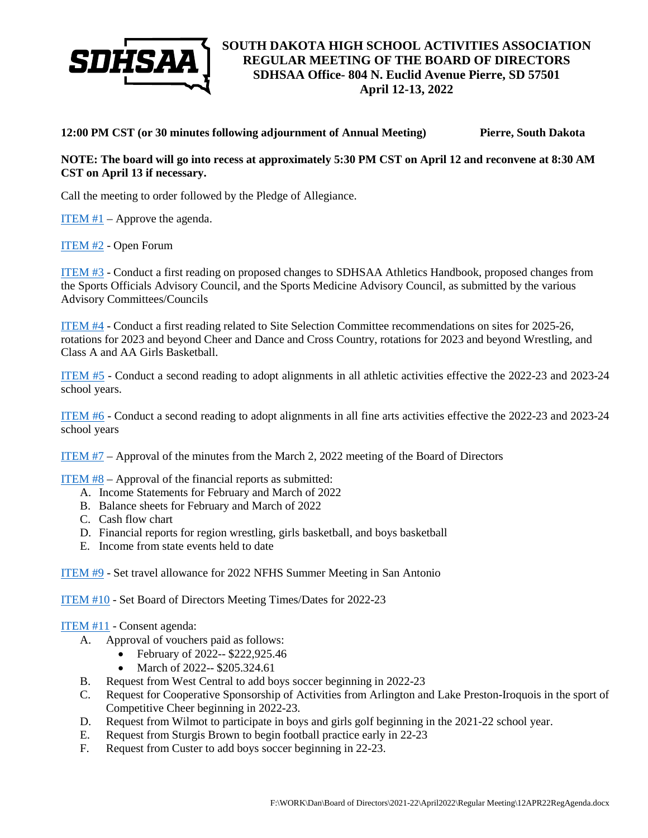

**12:00 PM CST (or 30 minutes following adjournment of Annual Meeting) Pierre, South Dakota**

## **NOTE: The board will go into recess at approximately 5:30 PM CST on April 12 and reconvene at 8:30 AM CST on April 13 if necessary.**

Call the meeting to order followed by the Pledge of Allegiance.

[ITEM #1](https://drive.google.com/file/d/1UX7lIt-vHaeV0dPLCTHkhJWbzcHGiQ0O/view?usp=sharing) – Approve the agenda.

[ITEM #2](https://drive.google.com/file/d/1x0fAdagdwqaOcSvrydsSmn_EGlJXg4rk/view?usp=sharing) - Open Forum

[ITEM #3](https://drive.google.com/file/d/1m_KDu8qubHAd2bufckyJ4Ak59Ons97f2/view?usp=sharing) - Conduct a first reading on proposed changes to SDHSAA Athletics Handbook, proposed changes from the Sports Officials Advisory Council, and the Sports Medicine Advisory Council, as submitted by the various Advisory Committees/Councils

[ITEM #4](https://drive.google.com/file/d/1B8aJbLqlon2KOfqQ3TEneIeeCwFOk02w/view?usp=sharing) - Conduct a first reading related to Site Selection Committee recommendations on sites for 2025-26, rotations for 2023 and beyond Cheer and Dance and Cross Country, rotations for 2023 and beyond Wrestling, and Class A and AA Girls Basketball.

[ITEM #5](https://drive.google.com/file/d/1TWb5zUjRI4xtS0zL-cbIsDZ6CYzmmbAJ/view?usp=sharing) - Conduct a second reading to adopt alignments in all athletic activities effective the 2022-23 and 2023-24 school years.

[ITEM #6](https://drive.google.com/file/d/1l3znEkrh1-TbqJhctx7CCMqyfEoySnhI/view?usp=sharing) - Conduct a second reading to adopt alignments in all fine arts activities effective the 2022-23 and 2023-24 school years

[ITEM #7](https://drive.google.com/file/d/1PzFPQtfFSpfD8QeOYkrBz2WCx_WObN62/view?usp=sharing) – Approval of the minutes from the March 2, 2022 meeting of the Board of Directors

[ITEM #8](https://drive.google.com/file/d/1npPMSvZtwrAdZZQYuiTCy3iTWCTS7Zvf/view?usp=sharing) – Approval of the financial reports as submitted:

- A. Income Statements for February and March of 2022
- B. Balance sheets for February and March of 2022
- C. Cash flow chart
- D. Financial reports for region wrestling, girls basketball, and boys basketball
- E. Income from state events held to date

[ITEM #9](https://drive.google.com/file/d/1GWuu0kELuCxjD0wDZgHr4LzNJD8oqX2p/view?usp=sharing) - Set travel allowance for 2022 NFHS Summer Meeting in San Antonio

[ITEM #10](https://drive.google.com/file/d/1JmqMqnqtYfcApeI30u-Mj5XYWBPtc3xA/view?usp=sharing) - Set Board of Directors Meeting Times/Dates for 2022-23

## [ITEM #11](https://drive.google.com/file/d/1AkC8YpZa7pozviMXHlXja05YMt4D1562/view?usp=sharing) - Consent agenda:

- A. Approval of vouchers paid as follows:
	- February of 2022-- \$222,925.46
	- March of 2022-- \$205.324.61
- B. Request from West Central to add boys soccer beginning in 2022-23
- C. Request for Cooperative Sponsorship of Activities from Arlington and Lake Preston-Iroquois in the sport of Competitive Cheer beginning in 2022-23.
- D. Request from Wilmot to participate in boys and girls golf beginning in the 2021-22 school year.
- E. Request from Sturgis Brown to begin football practice early in 22-23
- F. Request from Custer to add boys soccer beginning in 22-23.